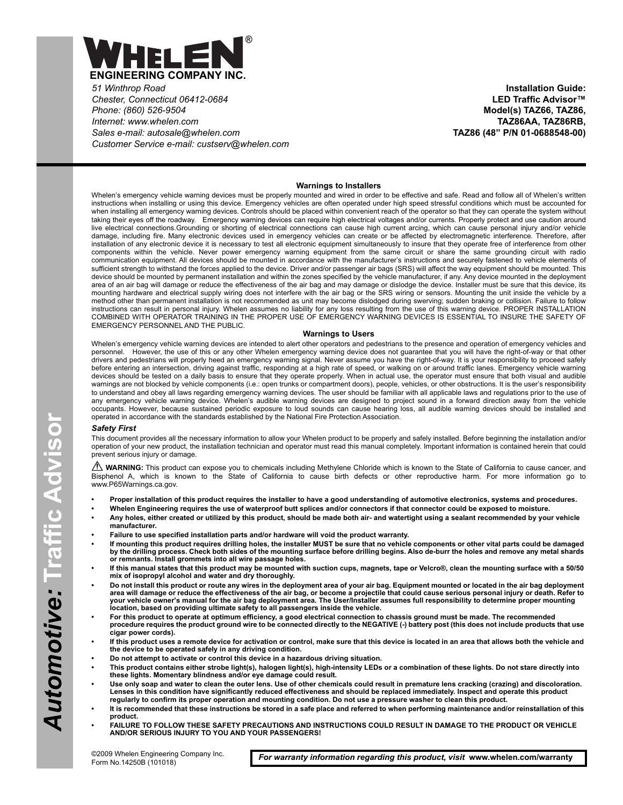

*51 Winthrop Road Chester, Connecticut 06412-0684 Phone: (860) 526-9504 Internet: www.whelen.com Sales e-mail: autosale@whelen.com Customer Service e-mail: custserv@whelen.com*

**Installation Guide: LED Traffic Advisor™ Model(s) TAZ66, TAZ86, TAZ86AA, TAZ86RB, TAZ86 (48" P/N 01-0688548-00)**

# **Warnings to Installers**

Whelen's emergency vehicle warning devices must be properly mounted and wired in order to be effective and safe. Read and follow all of Whelen's written instructions when installing or using this device. Emergency vehicles are often operated under high speed stressful conditions which must be accounted for when installing all emergency warning devices. Controls should be placed within convenient reach of the operator so that they can operate the system without taking their eyes off the roadway. Emergency warning devices can require high electrical voltages and/or currents. Properly protect and use caution around live electrical connections.Grounding or shorting of electrical connections can cause high current arcing, which can cause personal injury and/or vehicle damage, including fire. Many electronic devices used in emergency vehicles can create or be affected by electromagnetic interference. Therefore, after installation of any electronic device it is necessary to test all electronic equipment simultaneously to insure that they operate free of interference from other components within the vehicle. Never power emergency warning equipment from the same circuit or share the same grounding circuit with radio communication equipment. All devices should be mounted in accordance with the manufacturer's instructions and securely fastened to vehicle elements of sufficient strength to withstand the forces applied to the device. Driver and/or passenger air bags (SRS) will affect the way equipment should be mounted. This device should be mounted by permanent installation and within the zones specified by the vehicle manufacturer, if any. Any device mounted in the deployment area of an air bag will damage or reduce the effectiveness of the air bag and may damage or dislodge the device. Installer must be sure that this device, its mounting hardware and electrical supply wiring does not interfere with the air bag or the SRS wiring or sensors. Mounting the unit inside the vehicle by a method other than permanent installation is not recommended as unit may become dislodged during swerving; sudden braking or collision. Failure to follow instructions can result in personal injury. Whelen assumes no liability for any loss resulting from the use of this warning device. PROPER INSTALLATION COMBINED WITH OPERATOR TRAINING IN THE PROPER USE OF EMERGENCY WARNING DEVICES IS ESSENTIAL TO INSURE THE SAFETY OF EMERGENCY PERSONNEL AND THE PUBLIC.

#### **Warnings to Users**

Whelen's emergency vehicle warning devices are intended to alert other operators and pedestrians to the presence and operation of emergency vehicles and personnel. However, the use of this or any other Whelen emergency warning device does not guarantee that you will have the right-of-way or that other drivers and pedestrians will properly heed an emergency warning signal. Never assume you have the right-of-way. It is your responsibility to proceed safely before entering an intersection, driving against traffic, responding at a high rate of speed, or walking on or around traffic lanes. Emergency vehicle warning devices should be tested on a daily basis to ensure that they operate properly. When in actual use, the operator must ensure that both visual and audible warnings are not blocked by vehicle components (i.e.: open trunks or compartment doors), people, vehicles, or other obstructions. It is the user's responsibility to understand and obey all laws regarding emergency warning devices. The user should be familiar with all applicable laws and regulations prior to the use of any emergency vehicle warning device. Whelen's audible warning devices are designed to project sound in a forward direction away from the vehicle occupants. However, because sustained periodic exposure to loud sounds can cause hearing loss, all audible warning devices should be installed and operated in accordance with the standards established by the National Fire Protection Association.

#### *Safety First*

This document provides all the necessary information to allow your Whelen product to be properly and safely installed. Before beginning the installation and/or operation of your new product, the installation technician and operator must read this manual completely. Important information is contained herein that could prevent serious injury or damage.

WARNING: This product can expose you to chemicals including Methylene Chloride which is known to the State of California to cause cancer, and Bisphenol A, which is known to the State of California to cause birth defects or other reproductive harm. For more information go to www.P65Warnings.ca.gov.

- **Proper installation of this product requires the installer to have a good understanding of automotive electronics, systems and procedures.**
- **Whelen Engineering requires the use of waterproof butt splices and/or connectors if that connector could be exposed to moisture.**
	- **Any holes, either created or utilized by this product, should be made both air- and watertight using a sealant recommended by your vehicle manufacturer.**
- **Failure to use specified installation parts and/or hardware will void the product warranty.**
- **If mounting this product requires drilling holes, the installer MUST be sure that no vehicle components or other vital parts could be damaged by the drilling process. Check both sides of the mounting surface before drilling begins. Also de-burr the holes and remove any metal shards or remnants. Install grommets into all wire passage holes.**
- **If this manual states that this product may be mounted with suction cups, magnets, tape or Velcro®, clean the mounting surface with a 50/50 mix of isopropyl alcohol and water and dry thoroughly.**
- **Do not install this product or route any wires in the deployment area of your air bag. Equipment mounted or located in the air bag deployment area will damage or reduce the effectiveness of the air bag, or become a projectile that could cause serious personal injury or death. Refer to your vehicle owner's manual for the air bag deployment area. The User/Installer assumes full responsibility to determine proper mounting location, based on providing ultimate safety to all passengers inside the vehicle.**
- **For this product to operate at optimum efficiency, a good electrical connection to chassis ground must be made. The recommended procedure requires the product ground wire to be connected directly to the NEGATIVE (-) battery post (this does not include products that use cigar power cords).**
- **If this product uses a remote device for activation or control, make sure that this device is located in an area that allows both the vehicle and the device to be operated safely in any driving condition.**
- **Do not attempt to activate or control this device in a hazardous driving situation.**
- **This product contains either strobe light(s), halogen light(s), high-intensity LEDs or a combination of these lights. Do not stare directly into these lights. Momentary blindness and/or eye damage could result.**
- **Use only soap and water to clean the outer lens. Use of other chemicals could result in premature lens cracking (crazing) and discoloration. Lenses in this condition have significantly reduced effectiveness and should be replaced immediately. Inspect and operate this product regularly to confirm its proper operation and mounting condition. Do not use a pressure washer to clean this product.**
- **It is recommended that these instructions be stored in a safe place and referred to when performing maintenance and/or reinstallation of this product.**
- **FAILURE TO FOLLOW THESE SAFETY PRECAUTIONS AND INSTRUCTIONS COULD RESULT IN DAMAGE TO THE PRODUCT OR VEHICLE AND/OR SERIOUS INJURY TO YOU AND YOUR PASSENGERS!**

For warranty information regarding this product, visit www.whelen.com/warranty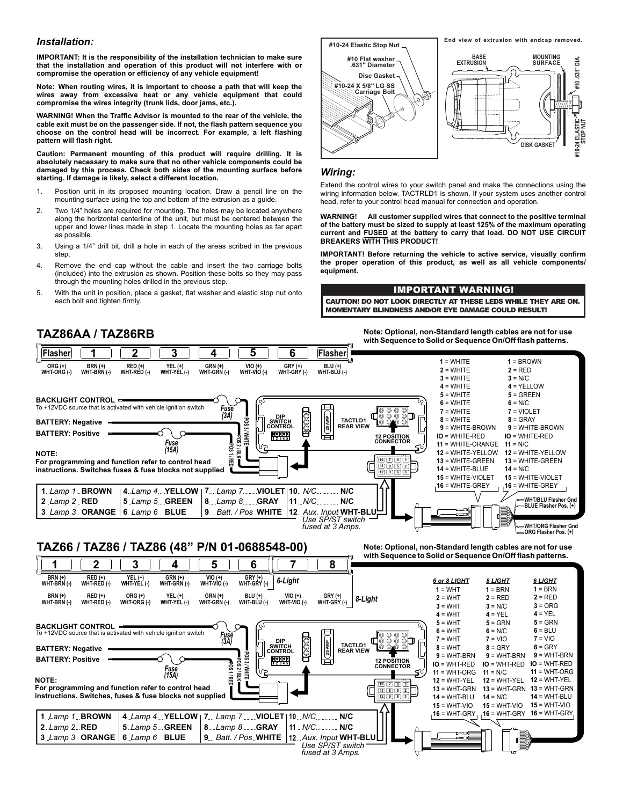# *Installation:*

**IMPORTANT: It is the responsibility of the installation technician to make sure that the installation and operation of this product will not interfere with or compromise the operation or efficiency of any vehicle equipment!**

**Note: When routing wires, it is important to choose a path that will keep the wires away from excessive heat or any vehicle equipment that could compromise the wires integrity (trunk lids, door jams, etc.).**

**WARNING! When the Traffic Advisor is mounted to the rear of the vehicle, the cable exit must be on the passenger side. If not, the flash pattern sequence you choose on the control head will be incorrect. For example, a left flashing pattern will flash right.**

**Caution: Permanent mounting of this product will require drilling. It is absolutely necessary to make sure that no other vehicle components could be damaged by this process. Check both sides of the mounting surface before starting. If damage is likely, select a different location.**

- 1. Position unit in its proposed mounting location. Draw a pencil line on the mounting surface using the top and bottom of the extrusion as a guide.
- 2. Two 1/4" holes are required for mounting. The holes may be located anywhere along the horizontal centerline of the unit, but must be centered between the upper and lower lines made in step 1. Locate the mounting holes as far apart as possible.
- 3. Using a 1/4" drill bit, drill a hole in each of the areas scribed in the previous step.
- 4. Remove the end cap without the cable and insert the two carriage bolts (included) into the extrusion as shown. Position these bolts so they may pass through the mounting holes drilled in the previous step.
- 5. With the unit in position, place a gasket, flat washer and elastic stop nut onto each bolt and tighten firmly.

**TAZ86AA / TAZ86RB**



# *Wiring:*

Extend the control wires to your switch panel and make the connections using the wiring information below. TACTRLD1 is shown. If your system uses another control head, refer to your control head manual for connection and operation.

**WARNING! All customer supplied wires that connect to the positive terminal of the battery must be sized to supply at least 125% of the maximum operating current and FUSED at the battery to carry that load. DO NOT USE CIRCUIT BREAKERS WITH THIS PRODUCT!**

**IMPORTANT! Before returning the vehicle to active service, visually confirm the proper operation of this product, as well as all vehicle components/ equipment.**

# IMPORTANT WARNING!

CAUTION! DO NOT LOOK DIRECTLY AT THESE LEDS WHILE THEY ARE ON. MOMENTARY BLINDNESS AND/OR EYE DAMAGE COULD RESULT!

> **Note: Optional, non-Standard length cables are not for use with Sequence to Solid or Sequence On/Off flash patterns.**